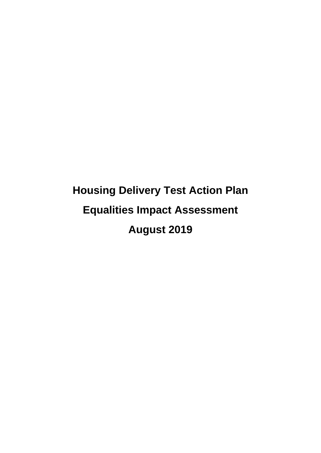# **Housing Delivery Test Action Plan Equalities Impact Assessment August 2019**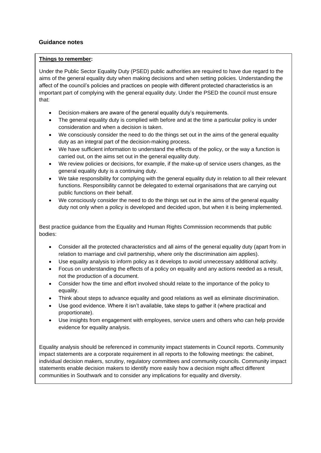# **Guidance notes**

#### **Things to remember:**

Under the Public Sector Equality Duty (PSED) public authorities are required to have due regard to the aims of the general equality duty when making decisions and when setting policies. Understanding the affect of the council's policies and practices on people with different protected characteristics is an important part of complying with the general equality duty. Under the PSED the council must ensure that:

- Decision-makers are aware of the general equality duty's requirements.
- The general equality duty is complied with before and at the time a particular policy is under consideration and when a decision is taken.
- We consciously consider the need to do the things set out in the aims of the general equality duty as an integral part of the decision-making process.
- We have sufficient information to understand the effects of the policy, or the way a function is carried out, on the aims set out in the general equality duty.
- We review policies or decisions, for example, if the make-up of service users changes, as the general equality duty is a continuing duty.
- We take responsibility for complying with the general equality duty in relation to all their relevant functions. Responsibility cannot be delegated to external organisations that are carrying out public functions on their behalf.
- We consciously consider the need to do the things set out in the aims of the general equality duty not only when a policy is developed and decided upon, but when it is being implemented.

Best practice guidance from the Equality and Human Rights Commission recommends that public bodies:

- Consider all the protected characteristics and all aims of the general equality duty (apart from in relation to marriage and civil partnership, where only the discrimination aim applies).
- Use equality analysis to inform policy as it develops to avoid unnecessary additional activity.
- Focus on understanding the effects of a policy on equality and any actions needed as a result, not the production of a document.
- Consider how the time and effort involved should relate to the importance of the policy to equality.
- Think about steps to advance equality and good relations as well as eliminate discrimination.
- Use good evidence. Where it isn't available, take steps to gather it (where practical and proportionate).
- Use insights from engagement with employees, service users and others who can help provide evidence for equality analysis.

Equality analysis should be referenced in community impact statements in Council reports. Community impact statements are a corporate requirement in all reports to the following meetings: the cabinet, individual decision makers, scrutiny, regulatory committees and community councils. Community impact statements enable decision makers to identify more easily how a decision might affect different communities in Southwark and to consider any implications for equality and diversity.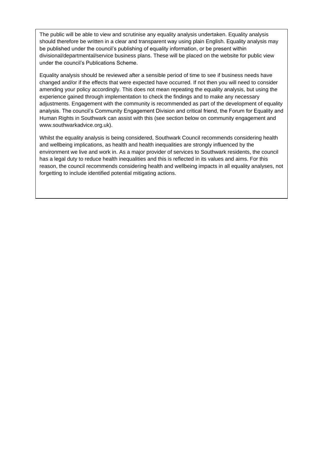The public will be able to view and scrutinise any equality analysis undertaken. Equality analysis should therefore be written in a clear and transparent way using plain English. Equality analysis may be published under the council's publishing of equality information, or be present within divisional/departmental/service business plans. These will be placed on the website for public view under the council's Publications Scheme.

Equality analysis should be reviewed after a sensible period of time to see if business needs have changed and/or if the effects that were expected have occurred. If not then you will need to consider amending your policy accordingly. This does not mean repeating the equality analysis, but using the experience gained through implementation to check the findings and to make any necessary adjustments. Engagement with the community is recommended as part of the development of equality analysis. The council's Community Engagement Division and critical friend, the Forum for Equality and Human Rights in Southwark can assist with this (see section below on community engagement and www.southwarkadvice.org.uk).

Whilst the equality analysis is being considered, Southwark Council recommends considering health and wellbeing implications, as health and health inequalities are strongly influenced by the environment we live and work in. As a major provider of services to Southwark residents, the council has a legal duty to reduce health inequalities and this is reflected in its values and aims. For this reason, the council recommends considering health and wellbeing impacts in all equality analyses, not forgetting to include identified potential mitigating actions.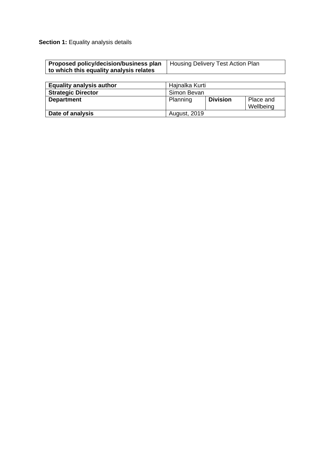**Section 1: Equality analysis details** 

| <b>Proposed policy/decision/business plan</b>   Housing Delivery Test Action Plan |  |
|-----------------------------------------------------------------------------------|--|
| to which this equality analysis relates                                           |  |

| <b>Equality analysis author</b> | Hajnalka Kurti      |                 |                        |
|---------------------------------|---------------------|-----------------|------------------------|
| <b>Strategic Director</b>       | Simon Bevan         |                 |                        |
| <b>Department</b>               | Planning            | <b>Division</b> | Place and<br>Wellbeing |
| Date of analysis                | <b>August, 2019</b> |                 |                        |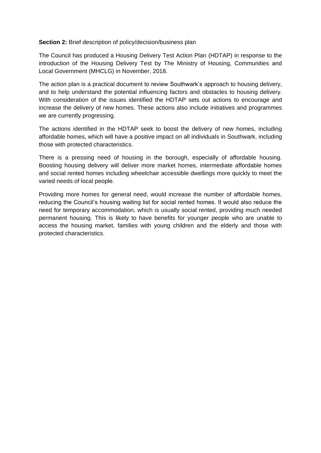# **Section 2:** Brief description of policy/decision/business plan

The Council has produced a Housing Delivery Test Action Plan (HDTAP) in response to the introduction of the Housing Delivery Test by The Ministry of Housing, Communities and Local Government (MHCLG) in November, 2018.

The action plan is a practical document to review Southwark's approach to housing delivery, and to help understand the potential influencing factors and obstacles to housing delivery. With consideration of the issues identified the HDTAP sets out actions to encourage and increase the delivery of new homes. These actions also include initiatives and programmes we are currently progressing.

The actions identified in the HDTAP seek to boost the delivery of new homes, including affordable homes, which will have a positive impact on all individuals in Southwark, including those with protected characteristics.

There is a pressing need of housing in the borough, especially of affordable housing. Boosting housing delivery will deliver more market homes, intermediate affordable homes and social rented homes including wheelchair accessible dwellings more quickly to meet the varied needs of local people.

Providing more homes for general need, would increase the number of affordable homes, reducing the Council's housing waiting list for social rented homes. It would also reduce the need for temporary accommodation, which is usually social rented, providing much needed permanent housing. This is likely to have benefits for younger people who are unable to access the housing market, families with young children and the elderly and those with protected characteristics.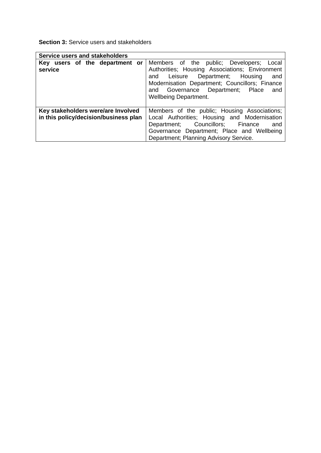**Section 3:** Service users and stakeholders

| <b>Service users and stakeholders</b>                                       |                                                                                                                                                                                                                                 |
|-----------------------------------------------------------------------------|---------------------------------------------------------------------------------------------------------------------------------------------------------------------------------------------------------------------------------|
| Key users of the department or                                              | Members of the public; Developers; Local                                                                                                                                                                                        |
| service                                                                     | Authorities; Housing Associations; Environment<br>Leisure Department; Housing<br>and<br>and<br>Modernisation Department; Councillors; Finance<br>Governance Department; Place<br>and<br>and<br><b>Wellbeing Department.</b>     |
| Key stakeholders were/are Involved<br>in this policy/decision/business plan | Members of the public; Housing Associations;<br>Local Authorities; Housing and Modernisation<br>Department; Councillors; Finance<br>and<br>Governance Department; Place and Wellbeing<br>Department; Planning Advisory Service. |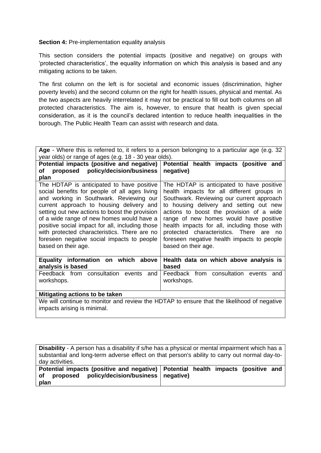# **Section 4: Pre-implementation equality analysis**

This section considers the potential impacts (positive and negative) on groups with 'protected characteristics', the equality information on which this analysis is based and any mitigating actions to be taken.

The first column on the left is for societal and economic issues (discrimination, higher poverty levels) and the second column on the right for health issues, physical and mental. As the two aspects are heavily interrelated it may not be practical to fill out both columns on all protected characteristics. The aim is, however, to ensure that health is given special consideration, as it is the council's declared intention to reduce health inequalities in the borough. The Public Health Team can assist with research and data.

| Age - Where this is referred to, it refers to a person belonging to a particular age (e.g. 32                                                                                                                                                                                                                                                                                                                                                            |                                                                                                                                                                                                                                                                                                                                                                                                                                           |  |  |  |
|----------------------------------------------------------------------------------------------------------------------------------------------------------------------------------------------------------------------------------------------------------------------------------------------------------------------------------------------------------------------------------------------------------------------------------------------------------|-------------------------------------------------------------------------------------------------------------------------------------------------------------------------------------------------------------------------------------------------------------------------------------------------------------------------------------------------------------------------------------------------------------------------------------------|--|--|--|
| year olds) or range of ages (e.g. 18 - 30 year olds).                                                                                                                                                                                                                                                                                                                                                                                                    |                                                                                                                                                                                                                                                                                                                                                                                                                                           |  |  |  |
| Potential impacts (positive and negative)                                                                                                                                                                                                                                                                                                                                                                                                                | Potential health impacts (positive and                                                                                                                                                                                                                                                                                                                                                                                                    |  |  |  |
| proposed policy/decision/business<br>оf                                                                                                                                                                                                                                                                                                                                                                                                                  | negative)                                                                                                                                                                                                                                                                                                                                                                                                                                 |  |  |  |
| plan                                                                                                                                                                                                                                                                                                                                                                                                                                                     |                                                                                                                                                                                                                                                                                                                                                                                                                                           |  |  |  |
| The HDTAP is anticipated to have positive<br>social benefits for people of all ages living<br>and working in Southwark. Reviewing our<br>current approach to housing delivery and<br>setting out new actions to boost the provision<br>of a wide range of new homes would have a<br>positive social impact for all, including those<br>with protected characteristics. There are no<br>foreseen negative social impacts to people<br>based on their age. | The HDTAP is anticipated to have positive<br>health impacts for all different groups in<br>Southwark. Reviewing our current approach<br>to housing delivery and setting out new<br>actions to boost the provision of a wide<br>range of new homes would have positive<br>health impacts for all, including those with<br>protected characteristics. There are<br>no.<br>foreseen negative health impacts to people<br>based on their age. |  |  |  |
| Equality information on which above<br>analysis is based                                                                                                                                                                                                                                                                                                                                                                                                 | Health data on which above analysis is<br>based                                                                                                                                                                                                                                                                                                                                                                                           |  |  |  |
| Feedback from consultation events<br>and                                                                                                                                                                                                                                                                                                                                                                                                                 | Feedback from consultation events<br>and                                                                                                                                                                                                                                                                                                                                                                                                  |  |  |  |
|                                                                                                                                                                                                                                                                                                                                                                                                                                                          |                                                                                                                                                                                                                                                                                                                                                                                                                                           |  |  |  |
| workshops.                                                                                                                                                                                                                                                                                                                                                                                                                                               | workshops.                                                                                                                                                                                                                                                                                                                                                                                                                                |  |  |  |
|                                                                                                                                                                                                                                                                                                                                                                                                                                                          |                                                                                                                                                                                                                                                                                                                                                                                                                                           |  |  |  |
| Mitigating actions to be taken                                                                                                                                                                                                                                                                                                                                                                                                                           |                                                                                                                                                                                                                                                                                                                                                                                                                                           |  |  |  |
| We will continue to monitor and review the HDTAP to ensure that the likelihood of negative                                                                                                                                                                                                                                                                                                                                                               |                                                                                                                                                                                                                                                                                                                                                                                                                                           |  |  |  |
| impacts arising is minimal.                                                                                                                                                                                                                                                                                                                                                                                                                              |                                                                                                                                                                                                                                                                                                                                                                                                                                           |  |  |  |

**Disability** - A person has a disability if s/he has a physical or mental impairment which has a substantial and long-term adverse effect on that person's ability to carry out normal day-today activities. **Potential impacts (positive and negative) of proposed policy/decision/business plan Potential health impacts (positive and negative)**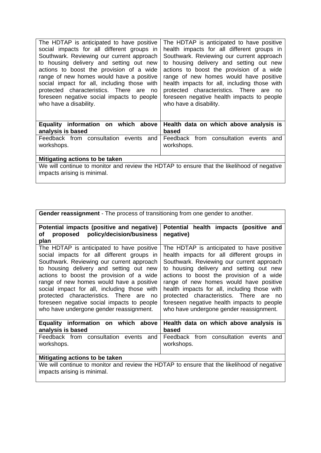| The HDTAP is anticipated to have positive<br>social impacts for all different groups in<br>Southwark. Reviewing our current approach<br>to housing delivery and setting out new<br>actions to boost the provision of a wide<br>range of new homes would have a positive<br>social impact for all, including those with<br>protected characteristics. There are<br>no<br>foreseen negative social impacts to people<br>who have a disability. | The HDTAP is anticipated to have positive<br>health impacts for all different groups in<br>Southwark. Reviewing our current approach<br>to housing delivery and setting out new<br>actions to boost the provision of a wide<br>range of new homes would have positive<br>health impacts for all, including those with<br>protected characteristics. There are no<br>foreseen negative health impacts to people<br>who have a disability. |
|----------------------------------------------------------------------------------------------------------------------------------------------------------------------------------------------------------------------------------------------------------------------------------------------------------------------------------------------------------------------------------------------------------------------------------------------|------------------------------------------------------------------------------------------------------------------------------------------------------------------------------------------------------------------------------------------------------------------------------------------------------------------------------------------------------------------------------------------------------------------------------------------|
| Equality information on which above<br>analysis is based                                                                                                                                                                                                                                                                                                                                                                                     | Health data on which above analysis is<br>based                                                                                                                                                                                                                                                                                                                                                                                          |
| Feedback from consultation events<br>and<br>workshops.                                                                                                                                                                                                                                                                                                                                                                                       | Feedback from consultation events<br>and<br>workshops.                                                                                                                                                                                                                                                                                                                                                                                   |
| Mitigating actions to be taken                                                                                                                                                                                                                                                                                                                                                                                                               |                                                                                                                                                                                                                                                                                                                                                                                                                                          |
| impacts arising is minimal.                                                                                                                                                                                                                                                                                                                                                                                                                  | We will continue to monitor and review the HDTAP to ensure that the likelihood of negative                                                                                                                                                                                                                                                                                                                                               |

| <b>Gender reassignment</b> - The process of transitioning from one gender to another.                                                                                                                                                                                                                                                                                                                                                                          |                                                                                                                                                                                                                                                                                                                                                                                                                                                               |  |  |  |
|----------------------------------------------------------------------------------------------------------------------------------------------------------------------------------------------------------------------------------------------------------------------------------------------------------------------------------------------------------------------------------------------------------------------------------------------------------------|---------------------------------------------------------------------------------------------------------------------------------------------------------------------------------------------------------------------------------------------------------------------------------------------------------------------------------------------------------------------------------------------------------------------------------------------------------------|--|--|--|
| Potential impacts (positive and negative)<br>policy/decision/business<br>proposed<br>οf<br>plan                                                                                                                                                                                                                                                                                                                                                                | Potential health impacts (positive and<br>negative)                                                                                                                                                                                                                                                                                                                                                                                                           |  |  |  |
| The HDTAP is anticipated to have positive<br>social impacts for all different groups in<br>Southwark. Reviewing our current approach<br>to housing delivery and setting out new<br>actions to boost the provision of a wide<br>range of new homes would have a positive<br>social impact for all, including those with<br>protected characteristics. There are<br>no.<br>foreseen negative social impacts to people<br>who have undergone gender reassignment. | The HDTAP is anticipated to have positive<br>health impacts for all different groups in<br>Southwark. Reviewing our current approach<br>to housing delivery and setting out new<br>actions to boost the provision of a wide<br>range of new homes would have positive<br>health impacts for all, including those with<br>protected characteristics. There are<br>no.<br>foreseen negative health impacts to people<br>who have undergone gender reassignment. |  |  |  |
| Equality information on which above<br>analysis is based                                                                                                                                                                                                                                                                                                                                                                                                       | Health data on which above analysis is<br>based                                                                                                                                                                                                                                                                                                                                                                                                               |  |  |  |
| Feedback from consultation events<br>and<br>workshops.                                                                                                                                                                                                                                                                                                                                                                                                         | Feedback from consultation events<br>and<br>workshops.                                                                                                                                                                                                                                                                                                                                                                                                        |  |  |  |
| Mitigating actions to be taken                                                                                                                                                                                                                                                                                                                                                                                                                                 |                                                                                                                                                                                                                                                                                                                                                                                                                                                               |  |  |  |
| impacts arising is minimal.                                                                                                                                                                                                                                                                                                                                                                                                                                    | We will continue to monitor and review the HDTAP to ensure that the likelihood of negative                                                                                                                                                                                                                                                                                                                                                                    |  |  |  |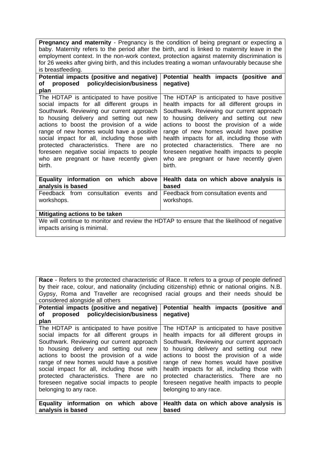| <b>Pregnancy and maternity</b> - Pregnancy is the condition of being pregnant or expecting a  |
|-----------------------------------------------------------------------------------------------|
| baby. Maternity refers to the period after the birth, and is linked to maternity leave in the |
| employment context. In the non-work context, protection against maternity discrimination is   |
| for 26 weeks after giving birth, and this includes treating a woman unfavourably because she  |
| is breastfeeding.                                                                             |

| Potential impacts (positive and negative)                                                                                                                                                                                                                                                                                                                                                                                                                               | Potential health impacts (positive and                                                                                                                                                                                                                                                                                                                                                                                                                                  |
|-------------------------------------------------------------------------------------------------------------------------------------------------------------------------------------------------------------------------------------------------------------------------------------------------------------------------------------------------------------------------------------------------------------------------------------------------------------------------|-------------------------------------------------------------------------------------------------------------------------------------------------------------------------------------------------------------------------------------------------------------------------------------------------------------------------------------------------------------------------------------------------------------------------------------------------------------------------|
| proposed policy/decision/business<br>оf                                                                                                                                                                                                                                                                                                                                                                                                                                 | negative)                                                                                                                                                                                                                                                                                                                                                                                                                                                               |
| plan                                                                                                                                                                                                                                                                                                                                                                                                                                                                    |                                                                                                                                                                                                                                                                                                                                                                                                                                                                         |
| The HDTAP is anticipated to have positive<br>social impacts for all different groups in<br>Southwark. Reviewing our current approach<br>to housing delivery and setting out new<br>actions to boost the provision of a wide<br>range of new homes would have a positive<br>social impact for all, including those with<br>protected characteristics. There are<br>no<br>foreseen negative social impacts to people<br>who are pregnant or have recently given<br>birth. | The HDTAP is anticipated to have positive<br>health impacts for all different groups in<br>Southwark. Reviewing our current approach<br>to housing delivery and setting out new<br>actions to boost the provision of a wide<br>range of new homes would have positive<br>health impacts for all, including those with<br>protected characteristics. There are<br>no.<br>foreseen negative health impacts to people<br>who are pregnant or have recently given<br>birth. |
| Equality information on which above<br>analysis is based                                                                                                                                                                                                                                                                                                                                                                                                                | Health data on which above analysis is<br>based                                                                                                                                                                                                                                                                                                                                                                                                                         |
| Feedback from consultation events<br>and                                                                                                                                                                                                                                                                                                                                                                                                                                | Feedback from consultation events and                                                                                                                                                                                                                                                                                                                                                                                                                                   |
| workshops.                                                                                                                                                                                                                                                                                                                                                                                                                                                              | workshops.                                                                                                                                                                                                                                                                                                                                                                                                                                                              |
|                                                                                                                                                                                                                                                                                                                                                                                                                                                                         |                                                                                                                                                                                                                                                                                                                                                                                                                                                                         |
| Mitigating actions to be taken                                                                                                                                                                                                                                                                                                                                                                                                                                          |                                                                                                                                                                                                                                                                                                                                                                                                                                                                         |

We will continue to monitor and review the HDTAP to ensure that the likelihood of negative impacts arising is minimal.

**Race** - Refers to the protected characteristic of Race. It refers to a group of people defined by their race, colour, and nationality (including citizenship) ethnic or national origins. N.B. Gypsy, Roma and Traveller are recognised racial groups and their needs should be considered alongside all others

| Potential impacts (positive and negative)     | Potential health impacts (positive and       |
|-----------------------------------------------|----------------------------------------------|
| proposed policy/decision/business<br>of       | negative)                                    |
| plan                                          |                                              |
| The HDTAP is anticipated to have positive     | The HDTAP is anticipated to have positive    |
| social impacts for all different groups in    | health impacts for all different groups in   |
| Southwark. Reviewing our current approach     | Southwark. Reviewing our current approach    |
| to housing delivery and setting out new       | to housing delivery and setting out new      |
| actions to boost the provision of a wide      | actions to boost the provision of a wide     |
| range of new homes would have a positive      | range of new homes would have positive       |
| social impact for all, including those with   | health impacts for all, including those with |
| protected characteristics. There are no       | protected characteristics. There are no      |
| foreseen negative social impacts to people    | foreseen negative health impacts to people   |
| belonging to any race.                        | belonging to any race.                       |
|                                               |                                              |
| <b>Equality information</b><br>on which above | Health data on which above analysis is       |
| analysis is based                             | based                                        |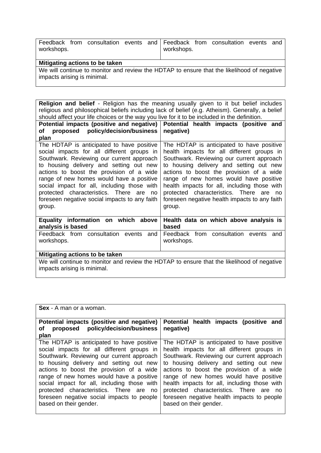| workshops. |                                |  | workshops. | Feedback from consultation events and Feedback from consultation events | and |
|------------|--------------------------------|--|------------|-------------------------------------------------------------------------|-----|
|            | Mitigating actions to be taken |  |            |                                                                         |     |

We will continue to monitor and review the HDTAP to ensure that the likelihood of negative impacts arising is minimal.

**Religion and belief** - Religion has the meaning usually given to it but belief includes religious and philosophical beliefs including lack of belief (e.g. Atheism). Generally, a belief should affect your life choices or the way you live for it to be included in the definition.

| Potential impacts (positive and negative)                                                                                                                                                                                                                                                                                                                                                                                        | Potential health impacts (positive and                                                                                                                                                                                                                                                                                                                                                                                      |
|----------------------------------------------------------------------------------------------------------------------------------------------------------------------------------------------------------------------------------------------------------------------------------------------------------------------------------------------------------------------------------------------------------------------------------|-----------------------------------------------------------------------------------------------------------------------------------------------------------------------------------------------------------------------------------------------------------------------------------------------------------------------------------------------------------------------------------------------------------------------------|
| proposed policy/decision/business<br>оf                                                                                                                                                                                                                                                                                                                                                                                          | negative)                                                                                                                                                                                                                                                                                                                                                                                                                   |
| plan                                                                                                                                                                                                                                                                                                                                                                                                                             |                                                                                                                                                                                                                                                                                                                                                                                                                             |
| The HDTAP is anticipated to have positive<br>social impacts for all different groups in<br>Southwark. Reviewing our current approach<br>to housing delivery and setting out new<br>actions to boost the provision of a wide<br>range of new homes would have a positive<br>social impact for all, including those with<br>protected characteristics. There are<br>no.<br>foreseen negative social impacts to any faith<br>group. | The HDTAP is anticipated to have positive<br>health impacts for all different groups in<br>Southwark. Reviewing our current approach<br>to housing delivery and setting out new<br>actions to boost the provision of a wide<br>range of new homes would have positive<br>health impacts for all, including those with<br>protected characteristics. There are no<br>foreseen negative health impacts to any faith<br>group. |
| Equality information on which above<br>analysis is based                                                                                                                                                                                                                                                                                                                                                                         | Health data on which above analysis is<br>based                                                                                                                                                                                                                                                                                                                                                                             |
| Feedback from consultation events<br>and<br>workshops.                                                                                                                                                                                                                                                                                                                                                                           | Feedback from consultation events<br>and<br>workshops.                                                                                                                                                                                                                                                                                                                                                                      |
| Mitigating actions to be taken                                                                                                                                                                                                                                                                                                                                                                                                   |                                                                                                                                                                                                                                                                                                                                                                                                                             |
|                                                                                                                                                                                                                                                                                                                                                                                                                                  | We will continue to monitor and review the HDTAP to ensure that the likelihood of negative                                                                                                                                                                                                                                                                                                                                  |
| impacts arising is minimal.                                                                                                                                                                                                                                                                                                                                                                                                      |                                                                                                                                                                                                                                                                                                                                                                                                                             |

| <b>Sex</b> - A man or a woman.                                                                                                                                                                                                                                                                                                                                                                                                            |                                                                                                                                                                                                                                                                                                                                                                                                                                          |
|-------------------------------------------------------------------------------------------------------------------------------------------------------------------------------------------------------------------------------------------------------------------------------------------------------------------------------------------------------------------------------------------------------------------------------------------|------------------------------------------------------------------------------------------------------------------------------------------------------------------------------------------------------------------------------------------------------------------------------------------------------------------------------------------------------------------------------------------------------------------------------------------|
| Potential impacts (positive and negative)<br>proposed policy/decision/business<br>оf<br>plan                                                                                                                                                                                                                                                                                                                                              | Potential health impacts (positive and<br>negative)                                                                                                                                                                                                                                                                                                                                                                                      |
| The HDTAP is anticipated to have positive<br>social impacts for all different groups in<br>Southwark. Reviewing our current approach<br>to housing delivery and setting out new<br>actions to boost the provision of a wide<br>range of new homes would have a positive<br>social impact for all, including those with<br>protected characteristics. There are no<br>foreseen negative social impacts to people<br>based on their gender. | The HDTAP is anticipated to have positive<br>health impacts for all different groups in<br>Southwark. Reviewing our current approach<br>to housing delivery and setting out new<br>actions to boost the provision of a wide<br>range of new homes would have positive<br>health impacts for all, including those with<br>protected characteristics. There are no<br>foreseen negative health impacts to people<br>based on their gender. |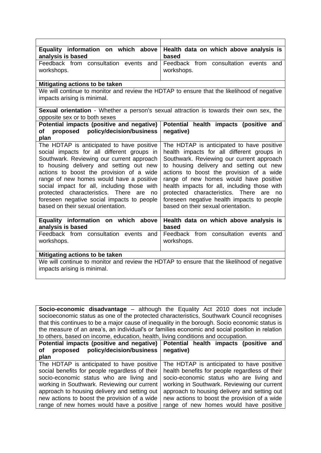| Equality information on which above<br>analysis is based                                                                                                                                                                                                                                                                                                                                                                                                 | Health data on which above analysis is<br>based                                                                                                                                                                                                                                                                                                                                                                                                            |
|----------------------------------------------------------------------------------------------------------------------------------------------------------------------------------------------------------------------------------------------------------------------------------------------------------------------------------------------------------------------------------------------------------------------------------------------------------|------------------------------------------------------------------------------------------------------------------------------------------------------------------------------------------------------------------------------------------------------------------------------------------------------------------------------------------------------------------------------------------------------------------------------------------------------------|
| Feedback from consultation events<br>and                                                                                                                                                                                                                                                                                                                                                                                                                 | Feedback from consultation events<br>and                                                                                                                                                                                                                                                                                                                                                                                                                   |
| workshops.                                                                                                                                                                                                                                                                                                                                                                                                                                               | workshops.                                                                                                                                                                                                                                                                                                                                                                                                                                                 |
| Mitigating actions to be taken                                                                                                                                                                                                                                                                                                                                                                                                                           |                                                                                                                                                                                                                                                                                                                                                                                                                                                            |
| We will continue to monitor and review the HDTAP to ensure that the likelihood of negative<br>impacts arising is minimal.                                                                                                                                                                                                                                                                                                                                |                                                                                                                                                                                                                                                                                                                                                                                                                                                            |
| <b>Sexual orientation</b> - Whether a person's sexual attraction is towards their own sex, the<br>opposite sex or to both sexes                                                                                                                                                                                                                                                                                                                          |                                                                                                                                                                                                                                                                                                                                                                                                                                                            |
| Potential impacts (positive and negative)<br>proposed policy/decision/business<br>of<br>plan                                                                                                                                                                                                                                                                                                                                                             | Potential health impacts (positive and<br>negative)                                                                                                                                                                                                                                                                                                                                                                                                        |
| The HDTAP is anticipated to have positive<br>social impacts for all different groups in<br>Southwark. Reviewing our current approach<br>to housing delivery and setting out new<br>actions to boost the provision of a wide<br>range of new homes would have a positive<br>social impact for all, including those with<br>protected characteristics. There are<br>no<br>foreseen negative social impacts to people<br>based on their sexual orientation. | The HDTAP is anticipated to have positive<br>health impacts for all different groups in<br>Southwark. Reviewing our current approach<br>to housing delivery and setting out new<br>actions to boost the provision of a wide<br>range of new homes would have positive<br>health impacts for all, including those with<br>protected characteristics. There<br>are<br>no<br>foreseen negative health impacts to people<br>based on their sexual orientation. |
| Equality information on which above<br>analysis is based                                                                                                                                                                                                                                                                                                                                                                                                 | Health data on which above analysis is<br>based                                                                                                                                                                                                                                                                                                                                                                                                            |
| Feedback from consultation events and<br>workshops.                                                                                                                                                                                                                                                                                                                                                                                                      | Feedback from consultation events<br>and<br>workshops.                                                                                                                                                                                                                                                                                                                                                                                                     |
| Mitigating actions to be taken                                                                                                                                                                                                                                                                                                                                                                                                                           |                                                                                                                                                                                                                                                                                                                                                                                                                                                            |
| We will continue to monitor and review the HDTAP to ensure that the likelihood of negative<br>impacts arising is minimal.                                                                                                                                                                                                                                                                                                                                |                                                                                                                                                                                                                                                                                                                                                                                                                                                            |

**Socio-economic disadvantage** – although the Equality Act 2010 does not include socioeconomic status as one of the protected characteristics, Southwark Council recognises that this continues to be a major cause of inequality in the borough. Socio economic status is the measure of an area's, an individual's or families economic and social position in relation to others, based on income, education, health, living conditions and occupation.

| Potential impacts (positive and negative)<br>policy/decision/business<br>proposed<br>οf<br>plan | Potential health impacts (positive and<br>negative) |
|-------------------------------------------------------------------------------------------------|-----------------------------------------------------|
| The HDTAP is anticipated to have positive                                                       | The HDTAP is anticipated to have positive           |
|                                                                                                 |                                                     |
| social benefits for people regardless of their                                                  | health benefits for people regardless of their      |
| socio-economic status who are living and                                                        | socio-economic status who are living and            |
| working in Southwark. Reviewing our current                                                     | working in Southwark. Reviewing our current         |
| approach to housing delivery and setting out                                                    | approach to housing delivery and setting out        |
| new actions to boost the provision of a wide                                                    | new actions to boost the provision of a wide        |
| range of new homes would have a positive                                                        | range of new homes would have positive              |